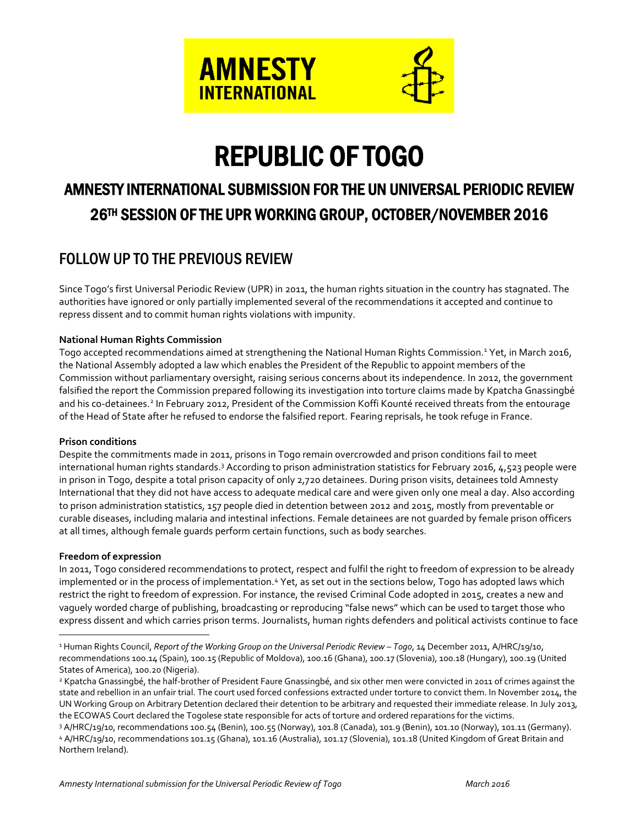

# REPUBLIC OF TOGO

# AMNESTY INTERNATIONAL SUBMISSION FOR THE UN UNIVERSAL PERIODIC REVIEW 26TH SESSION OF THE UPR WORKING GROUP, OCTOBER/NOVEMBER 2016

# FOLLOW UP TO THE PREVIOUS REVIEW

Since Togo's first Universal Periodic Review (UPR) in 2011, the human rights situation in the country has stagnated. The authorities have ignored or only partially implemented several of the recommendations it accepted and continue to repress dissent and to commit human rights violations with impunity.

#### **National Human Rights Commission**

Togo accepted recommendations aimed at strengthening the National Human Rights Commission.<sup>1</sup> Yet, in March 2016, the National Assembly adopted a law which enables the President of the Republic to appoint members of the Commission without parliamentary oversight, raising serious concerns about its independence. In 2012, the government falsified the report the Commission prepared following its investigation into torture claims made by Kpatcha Gnassingbé and his co-detainees.<sup>2</sup> In February 2012, President of the Commission Koffi Kounté received threats from the entourage of the Head of State after he refused to endorse the falsified report. Fearing reprisals, he took refuge in France.

#### **Prison conditions**

Despite the commitments made in 2011, prisons in Togo remain overcrowded and prison conditions fail to meet international human rights standards.<sup>3</sup> According to prison administration statistics for February 2016, 4,523 people were in prison in Togo, despite a total prison capacity of only 2,720 detainees. During prison visits, detainees told Amnesty International that they did not have access to adequate medical care and were given only one meal a day. Also according to prison administration statistics, 157 people died in detention between 2012 and 2015, mostly from preventable or curable diseases, including malaria and intestinal infections. Female detainees are not guarded by female prison officers at all times, although female guards perform certain functions, such as body searches.

#### **Freedom of expression**

 $\overline{a}$ 

In 2011, Togo considered recommendations to protect, respect and fulfil the right to freedom of expression to be already implemented or in the process of implementation.<sup>4</sup> Yet, as set out in the sections below, Togo has adopted laws which restrict the right to freedom of expression. For instance, the revised Criminal Code adopted in 2015, creates a new and vaguely worded charge of publishing, broadcasting or reproducing "false news" which can be used to target those who express dissent and which carries prison terms. Journalists, human rights defenders and political activists continue to face

<sup>1</sup> Human Rights Council, *Report of the Working Group on the Universal Periodic Review – Togo*, 14 December 2011, A/HRC/19/10, recommendations 100.14 (Spain), 100.15 (Republic of Moldova), 100.16 (Ghana), 100.17 (Slovenia), 100.18 (Hungary), 100.19 (United States of America), 100.20 (Nigeria).

<sup>2</sup> Kpatcha Gnassingbé, the half-brother of President Faure Gnassingbé, and six other men were convicted in 2011 of crimes against the state and rebellion in an unfair trial. The court used forced confessions extracted under torture to convict them. In November 2014, the UN Working Group on Arbitrary Detention declared their detention to be arbitrary and requested their immediate release. In July 2013, the ECOWAS Court declared the Togolese state responsible for acts of torture and ordered reparations for the victims.

<sup>3</sup> A/HRC/19/10, recommendations 100.54 (Benin), 100.55 (Norway), 101.8 (Canada), 101.9 (Benin), 101.10 (Norway), 101.11 (Germany). <sup>4</sup> A/HRC/19/10, recommendations 101.15 (Ghana), 101.16 (Australia), 101.17 (Slovenia), 101.18 (United Kingdom of Great Britain and Northern Ireland).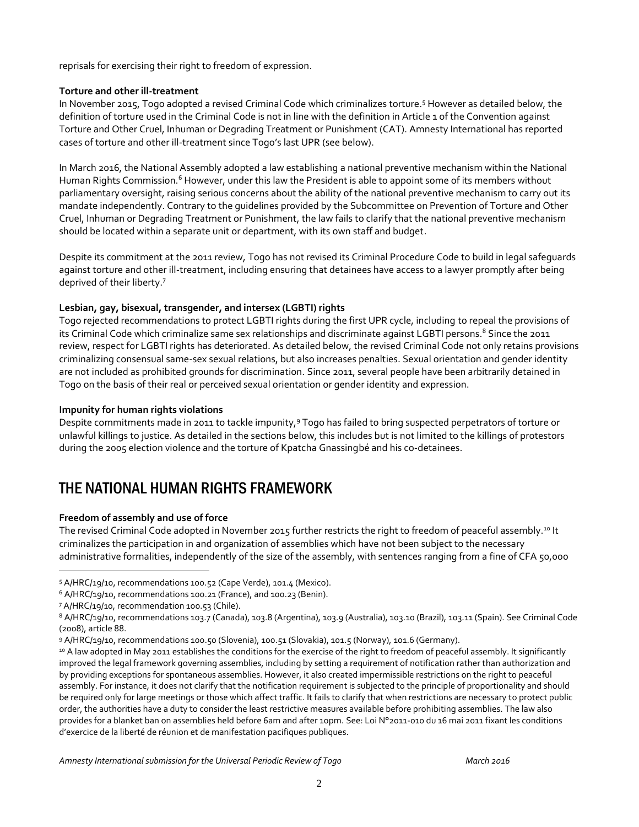reprisals for exercising their right to freedom of expression.

#### **Torture and other ill-treatment**

In November 2015, Togo adopted a revised Criminal Code which criminalizes torture.<sup>5</sup> However as detailed below, the definition of torture used in the Criminal Code is not in line with the definition in Article 1 of the Convention against Torture and Other Cruel, Inhuman or Degrading Treatment or Punishment (CAT). Amnesty International has reported cases of torture and other ill-treatment since Togo's last UPR (see below).

In March 2016, the National Assembly adopted a law establishing a national preventive mechanism within the National Human Rights Commission.<sup>6</sup> However, under this law the President is able to appoint some of its members without parliamentary oversight, raising serious concerns about the ability of the national preventive mechanism to carry out its mandate independently. Contrary to the guidelines provided by the Subcommittee on Prevention of Torture and Other Cruel, Inhuman or Degrading Treatment or Punishment, the law fails to clarify that the national preventive mechanism should be located within a separate unit or department, with its own staff and budget.

Despite its commitment at the 2011 review, Togo has not revised its Criminal Procedure Code to build in legal safeguards against torture and other ill-treatment, including ensuring that detainees have access to a lawyer promptly after being deprived of their liberty.<sup>7</sup>

#### **Lesbian, gay, bisexual, transgender, and intersex (LGBTI) rights**

Togo rejected recommendations to protect LGBTI rights during the first UPR cycle, including to repeal the provisions of its Criminal Code which criminalize same sex relationships and discriminate against LGBTI persons. <sup>8</sup> Since the 2011 review, respect for LGBTI rights has deteriorated. As detailed below, the revised Criminal Code not only retains provisions criminalizing consensual same-sex sexual relations, but also increases penalties. Sexual orientation and gender identity are not included as prohibited grounds for discrimination. Since 2011, several people have been arbitrarily detained in Togo on the basis of their real or perceived sexual orientation or gender identity and expression.

#### **Impunity for human rights violations**

Despite commitments made in 2011 to tackle impunity,<sup>9</sup> Togo has failed to bring suspected perpetrators of torture or unlawful killings to justice. As detailed in the sections below, this includes but is not limited to the killings of protestors during the 2005 election violence and the torture of Kpatcha Gnassingbé and his co-detainees.

## THE NATIONAL HUMAN RIGHTS FRAMEWORK

#### **Freedom of assembly and use of force**

 $\overline{a}$ 

The revised Criminal Code adopted in November 2015 further restricts the right to freedom of peaceful assembly.<sup>10</sup> It criminalizes the participation in and organization of assemblies which have not been subject to the necessary administrative formalities, independently of the size of the assembly, with sentences ranging from a fine of CFA 50,000

<sup>5</sup> A/HRC/19/10, recommendations 100.52 (Cape Verde), 101.4 (Mexico).

<sup>6</sup> A/HRC/19/10, recommendations 100.21 (France), and 100.23 (Benin).

<sup>7</sup> A/HRC/19/10, recommendation 100.53 (Chile).

<sup>8</sup> A/HRC/19/10, recommendations 103.7 (Canada), 103.8 (Argentina), 103.9 (Australia), 103.10 (Brazil), 103.11 (Spain). See Criminal Code (2008), article 88.

<sup>9</sup> A/HRC/19/10, recommendations 100.50 (Slovenia), 100.51 (Slovakia), 101.5 (Norway), 101.6 (Germany).

<sup>10</sup> A law adopted in May 2011 establishes the conditions for the exercise of the right to freedom of peaceful assembly. It significantly improved the legal framework governing assemblies, including by setting a requirement of notification rather than authorization and by providing exceptions for spontaneous assemblies. However, it also created impermissible restrictions on the right to peaceful assembly. For instance, it does not clarify that the notification requirement is subjected to the principle of proportionality and should be required only for large meetings or those which affect traffic. It fails to clarify that when restrictions are necessary to protect public order, the authorities have a duty to consider the least restrictive measures available before prohibiting assemblies. The law also provides for a blanket ban on assemblies held before 6am and after 10pm. See: Loi N°2011-010 du 16 mai 2011 fixant les conditions d'exercice de la liberté de réunion et de manifestation pacifiques publiques.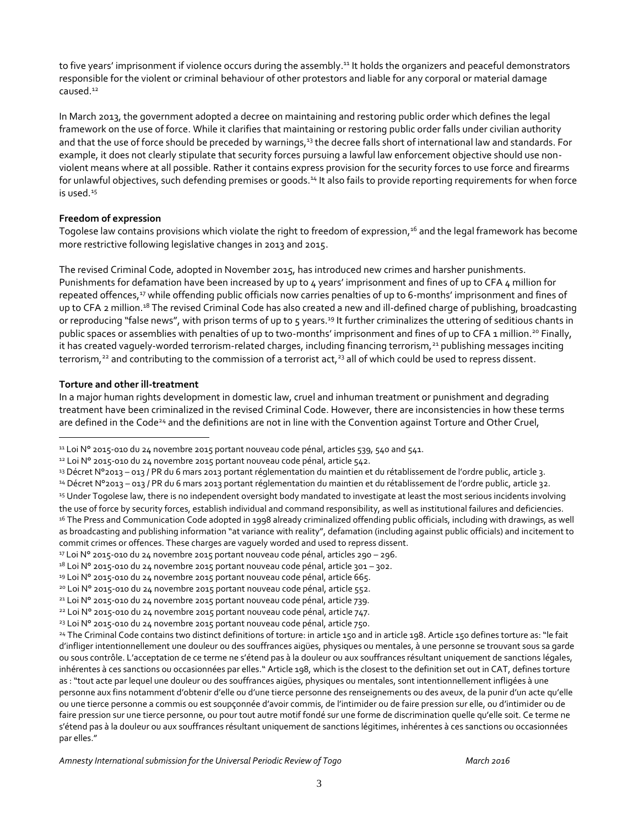to five years' imprisonment if violence occurs during the assembly. <sup>11</sup> It holds the organizers and peaceful demonstrators responsible for the violent or criminal behaviour of other protestors and liable for any corporal or material damage caused.<sup>12</sup>

In March 2013, the government adopted a decree on maintaining and restoring public order which defines the legal framework on the use of force. While it clarifies that maintaining or restoring public order falls under civilian authority and that the use of force should be preceded by warnings,<sup>13</sup> the decree falls short of international law and standards. For example, it does not clearly stipulate that security forces pursuing a lawful law enforcement objective should use nonviolent means where at all possible. Rather it contains express provision for the security forces to use force and firearms for unlawful objectives, such defending premises or goods.<sup>14</sup> It also fails to provide reporting requirements for when force is used.<sup>15</sup>

#### **Freedom of expression**

Togolese law contains provisions which violate the right to freedom of expression, <sup>16</sup> and the legal framework has become more restrictive following legislative changes in 2013 and 2015.

The revised Criminal Code, adopted in November 2015, has introduced new crimes and harsher punishments. Punishments for defamation have been increased by up to 4 years' imprisonment and fines of up to CFA 4 million for repeated offences,<sup>17</sup> while offending public officials now carries penalties of up to 6-months' imprisonment and fines of up to CFA 2 million.<sup>18</sup> The revised Criminal Code has also created a new and ill-defined charge of publishing, broadcasting or reproducing "false news", with prison terms of up to  $5$  years.<sup>19</sup> It further criminalizes the uttering of seditious chants in public spaces or assemblies with penalties of up to two-months' imprisonment and fines of up to CFA 1 million.<sup>20</sup> Finally, it has created vaguely-worded terrorism-related charges, including financing terrorism,<sup>21</sup> publishing messages inciting terrorism,<sup>22</sup> and contributing to the commission of a terrorist  $act<sub>23</sub>$  all of which could be used to repress dissent.

#### **Torture and other ill-treatment**

 $\overline{a}$ 

In a major human rights development in domestic law, cruel and inhuman treatment or punishment and degrading treatment have been criminalized in the revised Criminal Code. However, there are inconsistencies in how these terms are defined in the Code<sup>24</sup> and the definitions are not in line with the Convention against Torture and Other Cruel,

<sup>11</sup> Loi N° 2015-010 du 24 novembre 2015 portant nouveau code pénal, articles 539, 540 and 541.

<sup>&</sup>lt;sup>12</sup> Loi Nº 2015-010 du 24 novembre 2015 portant nouveau code pénal, article 542.

<sup>13</sup> Décret N°2013 – 013 / PR du 6 mars 2013 portant réglementation du maintien et du rétablissement de l'ordre public, article 3.

<sup>14</sup> Décret N°2013 – 013 / PR du 6 mars 2013 portant réglementation du maintien et du rétablissement de l'ordre public, article 32.

<sup>15</sup> Under Togolese law, there is no independent oversight body mandated to investigate at least the most serious incidents involving the use of force by security forces, establish individual and command responsibility, as well as institutional failures and deficiencies. <sup>16</sup> The Press and Communication Code adopted in 1998 already criminalized offending public officials, including with drawings, as well as broadcasting and publishing information "at variance with reality", defamation (including against public officials) and incitement to commit crimes or offences. These charges are vaguely worded and used to repress dissent.

<sup>17</sup> Loi N° 2015-010 du 24 novembre 2015 portant nouveau code pénal, articles 290 – 296.

 $18$  Loi N° 2015-010 du 24 novembre 2015 portant nouveau code pénal, article 301 – 302.

<sup>&</sup>lt;sup>19</sup> Loi Nº 2015-010 du 24 novembre 2015 portant nouveau code pénal, article 665.

<sup>&</sup>lt;sup>20</sup> Loi N° 2015-010 du 24 novembre 2015 portant nouveau code pénal, article 552.

<sup>21</sup> Loi N° 2015-010 du 24 novembre 2015 portant nouveau code pénal, article 739.

<sup>22</sup> Loi N° 2015-010 du 24 novembre 2015 portant nouveau code pénal, article 747.

<sup>&</sup>lt;sup>23</sup> Loi N° 2015-010 du 24 novembre 2015 portant nouveau code pénal, article 750.

<sup>24</sup> The Criminal Code contains two distinct definitions of torture: in article 150 and in article 198. Article 150 defines torture as: "le fait d'infliger intentionnellement une douleur ou des souffrances aigües, physiques ou mentales, à une personne se trouvant sous sa garde ou sous contrôle. L'acceptation de ce terme ne s'étend pas à la douleur ou aux souffrances résultant uniquement de sanctions légales, inhérentes à ces sanctions ou occasionnées par elles." Article 198, which is the closest to the definition set out in CAT, defines torture as : "tout acte par lequel une douleur ou des souffrances aigües, physiques ou mentales, sont intentionnellement infligées à une personne aux fins notamment d'obtenir d'elle ou d'une tierce personne des renseignements ou des aveux, de la punir d'un acte qu'elle ou une tierce personne a commis ou est soupçonnée d'avoir commis, de l'intimider ou de faire pression sur elle, ou d'intimider ou de faire pression sur une tierce personne, ou pour tout autre motif fondé sur une forme de discrimination quelle qu'elle soit. Ce terme ne s'étend pas à la douleur ou aux souffrances résultant uniquement de sanctions légitimes, inhérentes à ces sanctions ou occasionnées par elles."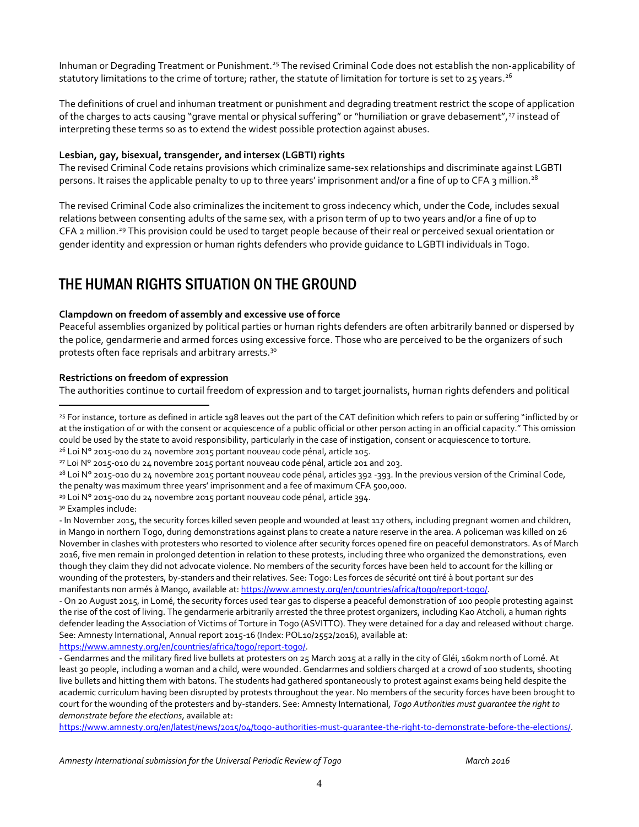Inhuman or Degrading Treatment or Punishment.<sup>25</sup> The revised Criminal Code does not establish the non-applicability of statutory limitations to the crime of torture; rather, the statute of limitation for torture is set to 25 years. $^{26}$ 

The definitions of cruel and inhuman treatment or punishment and degrading treatment restrict the scope of application of the charges to acts causing "grave mental or physical suffering" or "humiliation or grave debasement",<sup>27</sup> instead of interpreting these terms so as to extend the widest possible protection against abuses.

#### **Lesbian, gay, bisexual, transgender, and intersex (LGBTI) rights**

The revised Criminal Code retains provisions which criminalize same-sex relationships and discriminate against LGBTI persons. It raises the applicable penalty to up to three years' imprisonment and/or a fine of up to CFA 3 million.<sup>28</sup>

The revised Criminal Code also criminalizes the incitement to gross indecency which, under the Code, includes sexual relations between consenting adults of the same sex, with a prison term of up to two years and/or a fine of up to CFA 2 million.<sup>29</sup> This provision could be used to target people because of their real or perceived sexual orientation or gender identity and expression or human rights defenders who provide guidance to LGBTI individuals in Togo.

## THE HUMAN RIGHTS SITUATION ON THE GROUND

#### **Clampdown on freedom of assembly and excessive use of force**

Peaceful assemblies organized by political parties or human rights defenders are often arbitrarily banned or dispersed by the police, gendarmerie and armed forces using excessive force. Those who are perceived to be the organizers of such protests often face reprisals and arbitrary arrests.<sup>30</sup>

#### **Restrictions on freedom of expression**

The authorities continue to curtail freedom of expression and to target journalists, human rights defenders and political

the penalty was maximum three years' imprisonment and a fee of maximum CFA 500,000.

 $\overline{a}$ 

[https://www.amnesty.org/en/latest/news/2015/04/togo-authorities-must-guarantee-the-right-to-demonstrate-before-the-elections/.](https://www.amnesty.org/en/latest/news/2015/04/togo-authorities-must-guarantee-the-right-to-demonstrate-before-the-elections/)

<sup>&</sup>lt;sup>25</sup> For instance, torture as defined in article 198 leaves out the part of the CAT definition which refers to pain or suffering "inflicted by or at the instigation of or with the consent or acquiescence of a public official or other person acting in an official capacity." This omission could be used by the state to avoid responsibility, particularly in the case of instigation, consent or acquiescence to torture. <sup>26</sup> Loi N° 2015-010 du 24 novembre 2015 portant nouveau code pénal, article 105.

<sup>27</sup> Loi N° 2015-010 du 24 novembre 2015 portant nouveau code pénal, article 201 and 203.

<sup>&</sup>lt;sup>28</sup> Loi N° 2015-010 du 24 novembre 2015 portant nouveau code pénal, articles 392 -393. In the previous version of the Criminal Code,

<sup>&</sup>lt;sup>29</sup> Loi Nº 2015-010 du 24 novembre 2015 portant nouveau code pénal, article 394.

<sup>30</sup> Examples include:

<sup>-</sup> In November 2015, the security forces killed seven people and wounded at least 117 others, including pregnant women and children, in Mango in northern Togo, during demonstrations against plans to create a nature reserve in the area. A policeman was killed on 26 November in clashes with protesters who resorted to violence after security forces opened fire on peaceful demonstrators. As of March 2016, five men remain in prolonged detention in relation to these protests, including three who organized the demonstrations, even though they claim they did not advocate violence. No members of the security forces have been held to account for the killing or wounding of the protesters, by-standers and their relatives. See: Togo: Les forces de sécurité ont tiré à bout portant sur des manifestants non armés à Mango, available at[: https://www.amnesty.org/en/countries/africa/togo/report-togo/.](https://www.amnesty.org/en/countries/africa/togo/report-togo/)

<sup>-</sup> On 20 August 2015, in Lomé, the security forces used tear gas to disperse a peaceful demonstration of 100 people protesting against the rise of the cost of living. The gendarmerie arbitrarily arrested the three protest organizers, including Kao Atcholi, a human rights defender leading the Association of Victims of Torture in Togo (ASVITTO). They were detained for a day and released without charge. See: Amnesty International, Annual report 2015-16 (Index: POL10/2552/2016), available at: [https://www.amnesty.org/en/countries/africa/togo/report-togo/.](https://www.amnesty.org/en/countries/africa/togo/report-togo/)

<sup>-</sup> Gendarmes and the military fired live bullets at protesters on 25 March 2015 at a rally in the city of Gléi, 160km north of Lomé. At least 30 people, including a woman and a child, were wounded. Gendarmes and soldiers charged at a crowd of 100 students, shooting live bullets and hitting them with batons. The students had gathered spontaneously to protest against exams being held despite the academic curriculum having been disrupted by protests throughout the year. No members of the security forces have been brought to court for the wounding of the protesters and by-standers. See: Amnesty International, *Togo Authorities must guarantee the right to demonstrate before the elections*, available at: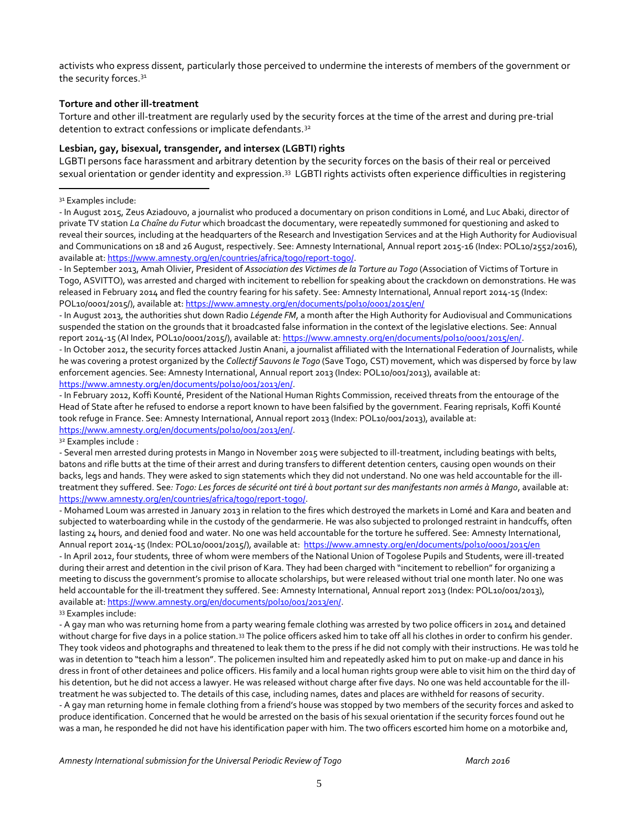activists who express dissent, particularly those perceived to undermine the interests of members of the government or the security forces.<sup>31</sup>

#### **Torture and other ill-treatment**

Torture and other ill-treatment are regularly used by the security forces at the time of the arrest and during pre-trial detention to extract confessions or implicate defendants.<sup>32</sup>

#### **Lesbian, gay, bisexual, transgender, and intersex (LGBTI) rights**

LGBTI persons face harassment and arbitrary detention by the security forces on the basis of their real or perceived sexual orientation or gender identity and expression.<sup>33</sup> LGBTI rights activists often experience difficulties in registering

<sup>31</sup> Examples include:

 $\overline{a}$ 

- In August 2015, Zeus Aziadouvo, a journalist who produced a documentary on prison conditions in Lomé, and Luc Abaki, director of private TV station *La Chaîne du Futur* which broadcast the documentary, were repeatedly summoned for questioning and asked to reveal their sources, including at the headquarters of the Research and Investigation Services and at the High Authority for Audiovisual and Communications on 18 and 26 August, respectively. See: Amnesty International, Annual report 2015-16 (Index: POL10/2552/2016), available at[: https://www.amnesty.org/en/countries/africa/togo/report-togo/.](https://www.amnesty.org/en/countries/africa/togo/report-togo/)

- In September 2013, Amah Olivier, President of *Association des Victimes de la Torture au Togo* (Association of Victims of Torture in Togo, ASVITTO), was arrested and charged with incitement to rebellion for speaking about the crackdown on demonstrations. He was released in February 2014 and fled the country fearing for his safety. See: Amnesty International, Annual report 2014-15 (Index: POL10/0001/2015/), available at[: https://www.amnesty.org/en/documents/pol10/0001/2015/en/](https://www.amnesty.org/en/documents/pol10/0001/2015/en/)

- In August 2013, the authorities shut down Radio *Légende FM*, a month after the High Authority for Audiovisual and Communications suspended the station on the grounds that it broadcasted false information in the context of the legislative elections. See: Annual report 2014-15 (AI Index, POL10/0001/2015/), available at[: https://www.amnesty.org/en/documents/pol10/0001/2015/en/.](https://www.amnesty.org/en/documents/pol10/0001/2015/en/)

- In October 2012, the security forces attacked Justin Anani, a journalist affiliated with the International Federation of Journalists, while he was covering a protest organized by the *Collectif Sauvons le Togo* (Save Togo, CST) movement, which was dispersed by force by law enforcement agencies. See: Amnesty International, Annual report 2013 (Index: POL10/001/2013), available at: [https://www.amnesty.org/en/documents/pol10/001/2013/en/.](https://www.amnesty.org/en/documents/pol10/001/2013/en/)

- In February 2012, Koffi Kounté, President of the National Human Rights Commission, received threats from the entourage of the Head of State after he refused to endorse a report known to have been falsified by the government. Fearing reprisals, Koffi Kounté took refuge in France. See: Amnesty International, Annual report 2013 (Index: POL10/001/2013), available at: [https://www.amnesty.org/en/documents/pol10/001/2013/en/.](https://www.amnesty.org/en/documents/pol10/001/2013/en/)

<sup>32</sup> Examples include :

- Several men arrested during protests in Mango in November 2015 were subjected to ill-treatment, including beatings with belts, batons and rifle butts at the time of their arrest and during transfers to different detention centers, causing open wounds on their backs, legs and hands. They were asked to sign statements which they did not understand. No one was held accountable for the illtreatment they suffered. See*: Togo: Les forces de sécurité ont tiré à bout portant sur des manifestants non armés à Mango*, available at: [https://www.amnesty.org/en/countries/africa/togo/report-togo/.](https://www.amnesty.org/en/countries/africa/togo/report-togo/)

- Mohamed Loum was arrested in January 2013 in relation to the fires which destroyed the markets in Lomé and Kara and beaten and subjected to waterboarding while in the custody of the gendarmerie. He was also subjected to prolonged restraint in handcuffs, often lasting 24 hours, and denied food and water. No one was held accountable for the torture he suffered. See: Amnesty International, Annual report 2014-15 (Index: POL10/0001/2015/), available at: https://www.amnesty.org/en/documents/pol10/0001/2015/en - In April 2012, four students, three of whom were members of the National Union of Togolese Pupils and Students, were ill-treated during their arrest and detention in the civil prison of Kara. They had been charged with "incitement to rebellion" for organizing a meeting to discuss the government's promise to allocate scholarships, but were released without trial one month later. No one was held accountable for the ill-treatment they suffered. See: Amnesty International, Annual report 2013 (Index: POL10/001/2013), available at[: https://www.amnesty.org/en/documents/pol10/001/2013/en/.](https://www.amnesty.org/en/documents/pol10/001/2013/en/)

<sup>33</sup> Examples include:

- A gay man who was returning home from a party wearing female clothing was arrested by two police officers in 2014 and detained without charge for five days in a police station.<sup>33</sup> The police officers asked him to take off all his clothes in order to confirm his gender. They took videos and photographs and threatened to leak them to the press if he did not comply with their instructions. He was told he was in detention to "teach him a lesson". The policemen insulted him and repeatedly asked him to put on make-up and dance in his dress in front of other detainees and police officers. His family and a local human rights group were able to visit him on the third day of his detention, but he did not access a lawyer. He was released without charge after five days. No one was held accountable for the illtreatment he was subjected to. The details of this case, including names, dates and places are withheld for reasons of security. - A gay man returning home in female clothing from a friend's house was stopped by two members of the security forces and asked to produce identification. Concerned that he would be arrested on the basis of his sexual orientation if the security forces found out he was a man, he responded he did not have his identification paper with him. The two officers escorted him home on a motorbike and,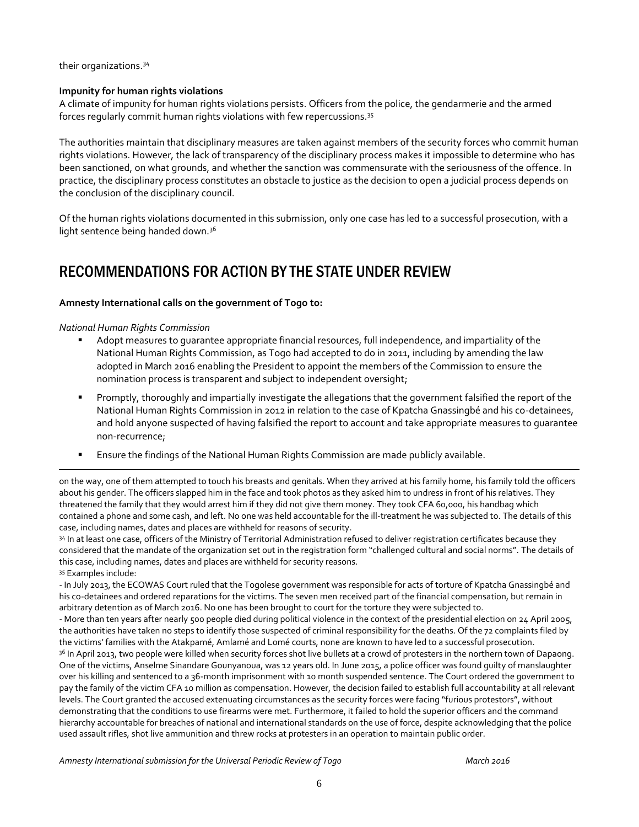their organizations.<sup>34</sup>

#### **Impunity for human rights violations**

A climate of impunity for human rights violations persists. Officers from the police, the gendarmerie and the armed forces regularly commit human rights violations with few repercussions.<sup>35</sup>

The authorities maintain that disciplinary measures are taken against members of the security forces who commit human rights violations. However, the lack of transparency of the disciplinary process makes it impossible to determine who has been sanctioned, on what grounds, and whether the sanction was commensurate with the seriousness of the offence. In practice, the disciplinary process constitutes an obstacle to justice as the decision to open a judicial process depends on the conclusion of the disciplinary council.

Of the human rights violations documented in this submission, only one case has led to a successful prosecution, with a light sentence being handed down.<sup>36</sup>

# RECOMMENDATIONS FOR ACTION BY THE STATE UNDER REVIEW

#### **Amnesty International calls on the government of Togo to:**

*National Human Rights Commission*

 $\overline{a}$ 

- Adopt measures to guarantee appropriate financial resources, full independence, and impartiality of the National Human Rights Commission, as Togo had accepted to do in 2011, including by amending the law adopted in March 2016 enabling the President to appoint the members of the Commission to ensure the nomination process is transparent and subject to independent oversight;
- Promptly, thoroughly and impartially investigate the allegations that the government falsified the report of the National Human Rights Commission in 2012 in relation to the case of Kpatcha Gnassingbé and his co-detainees, and hold anyone suspected of having falsified the report to account and take appropriate measures to guarantee non-recurrence;
- Ensure the findings of the National Human Rights Commission are made publicly available.

on the way, one of them attempted to touch his breasts and genitals. When they arrived at his family home, his family told the officers about his gender. The officers slapped him in the face and took photos as they asked him to undress in front of his relatives. They threatened the family that they would arrest him if they did not give them money. They took CFA 60,000, his handbag which contained a phone and some cash, and left. No one was held accountable for the ill-treatment he was subjected to. The details of this case, including names, dates and places are withheld for reasons of security.

34 In at least one case, officers of the Ministry of Territorial Administration refused to deliver registration certificates because they considered that the mandate of the organization set out in the registration form "challenged cultural and social norms". The details of this case, including names, dates and places are withheld for security reasons. <sup>35</sup> Examples include:

- In July 2013, the ECOWAS Court ruled that the Togolese government was responsible for acts of torture of Kpatcha Gnassingbé and his co-detainees and ordered reparations for the victims. The seven men received part of the financial compensation, but remain in arbitrary detention as of March 2016. No one has been brought to court for the torture they were subjected to.

- More than ten years after nearly 500 people died during political violence in the context of the presidential election on 24 April 2005, the authorities have taken no steps to identify those suspected of criminal responsibility for the deaths. Of the 72 complaints filed by the victims' families with the Atakpamé, Amlamé and Lomé courts, none are known to have led to a successful prosecution. <sup>36</sup> In April 2013, two people were killed when security forces shot live bullets at a crowd of protesters in the northern town of Dapaong. One of the victims, Anselme Sinandare Gounyanoua, was 12 years old. In June 2015, a police officer was found guilty of manslaughter over his killing and sentenced to a 36-month imprisonment with 10 month suspended sentence. The Court ordered the government to pay the family of the victim CFA 10 million as compensation. However, the decision failed to establish full accountability at all relevant levels. The Court granted the accused extenuating circumstances as the security forces were facing "furious protestors", without demonstrating that the conditions to use firearms were met. Furthermore, it failed to hold the superior officers and the command hierarchy accountable for breaches of national and international standards on the use of force, despite acknowledging that the police used assault rifles, shot live ammunition and threw rocks at protesters in an operation to maintain public order.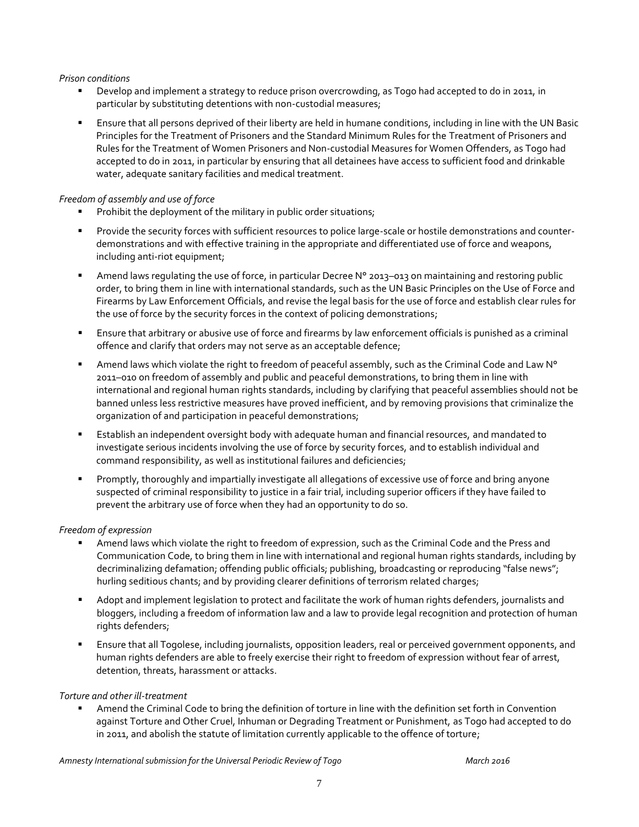#### *Prison conditions*

- Develop and implement a strategy to reduce prison overcrowding, as Togo had accepted to do in 2011, in particular by substituting detentions with non-custodial measures;
- Ensure that all persons deprived of their liberty are held in humane conditions, including in line with the UN Basic Principles for the Treatment of Prisoners and the Standard Minimum Rules for the Treatment of Prisoners and Rules for the Treatment of Women Prisoners and Non-custodial Measures for Women Offenders, as Togo had accepted to do in 2011, in particular by ensuring that all detainees have access to sufficient food and drinkable water, adequate sanitary facilities and medical treatment.

#### *Freedom of assembly and use of force*

- **Prohibit the deployment of the military in public order situations;**
- Provide the security forces with sufficient resources to police large-scale or hostile demonstrations and counterdemonstrations and with effective training in the appropriate and differentiated use of force and weapons, including anti-riot equipment;
- Amend laws regulating the use of force, in particular Decree N° 2013–013 on maintaining and restoring public order, to bring them in line with international standards, such as the UN Basic Principles on the Use of Force and Firearms by Law Enforcement Officials, and revise the legal basis for the use of force and establish clear rules for the use of force by the security forces in the context of policing demonstrations;
- Ensure that arbitrary or abusive use of force and firearms by law enforcement officials is punished as a criminal offence and clarify that orders may not serve as an acceptable defence;
- Amend laws which violate the right to freedom of peaceful assembly, such as the Criminal Code and Law N° 2011–010 on freedom of assembly and public and peaceful demonstrations, to bring them in line with international and regional human rights standards, including by clarifying that peaceful assemblies should not be banned unless less restrictive measures have proved inefficient, and by removing provisions that criminalize the organization of and participation in peaceful demonstrations;
- Establish an independent oversight body with adequate human and financial resources, and mandated to investigate serious incidents involving the use of force by security forces, and to establish individual and command responsibility, as well as institutional failures and deficiencies;
- Promptly, thoroughly and impartially investigate all allegations of excessive use of force and bring anyone suspected of criminal responsibility to justice in a fair trial, including superior officers if they have failed to prevent the arbitrary use of force when they had an opportunity to do so.

#### *Freedom of expression*

- Amend laws which violate the right to freedom of expression, such as the Criminal Code and the Press and Communication Code, to bring them in line with international and regional human rights standards, including by decriminalizing defamation; offending public officials; publishing, broadcasting or reproducing "false news"; hurling seditious chants; and by providing clearer definitions of terrorism related charges;
- Adopt and implement legislation to protect and facilitate the work of human rights defenders, journalists and bloggers, including a freedom of information law and a law to provide legal recognition and protection of human rights defenders;
- Ensure that all Togolese, including journalists, opposition leaders, real or perceived government opponents, and human rights defenders are able to freely exercise their right to freedom of expression without fear of arrest, detention, threats, harassment or attacks.

#### *Torture and other ill-treatment*

 Amend the Criminal Code to bring the definition of torture in line with the definition set forth in Convention against Torture and Other Cruel, Inhuman or Degrading Treatment or Punishment, as Togo had accepted to do in 2011, and abolish the statute of limitation currently applicable to the offence of torture;